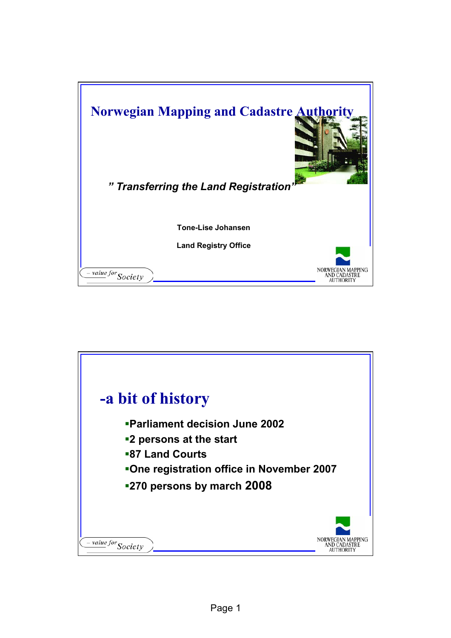

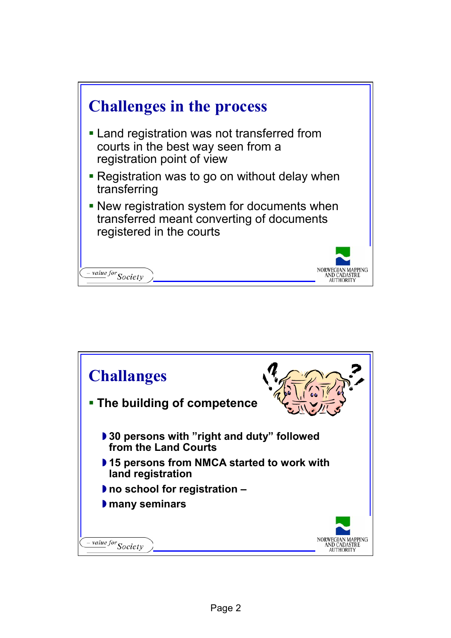

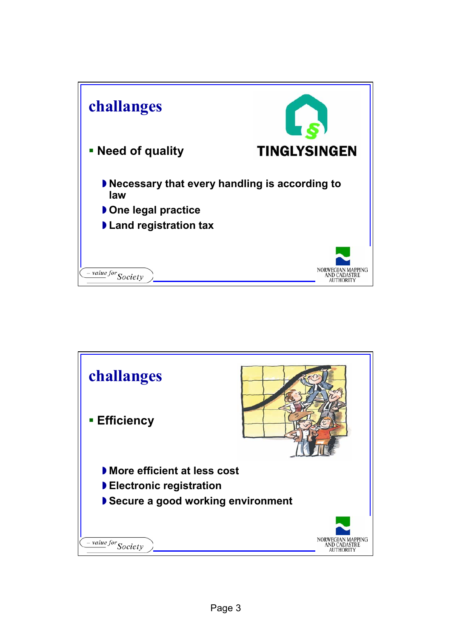

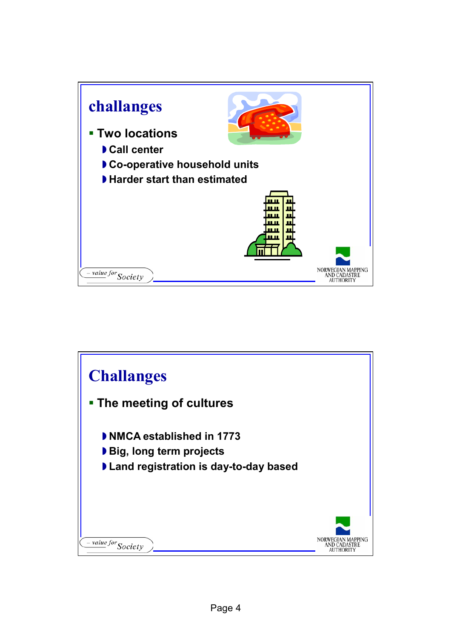